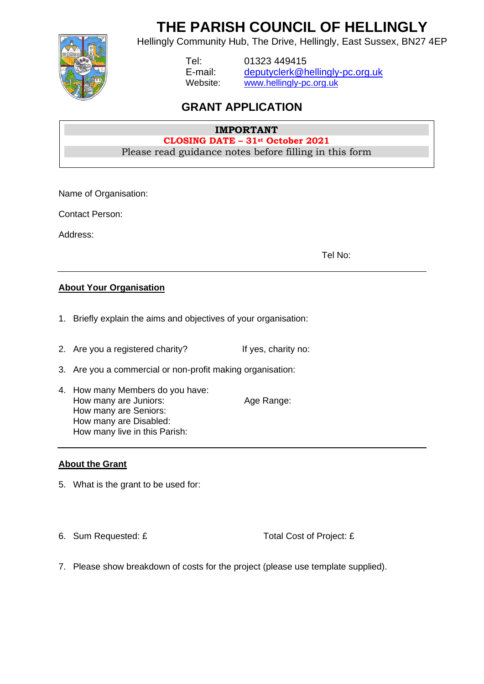**THE PARISH COUNCIL OF HELLINGLY**



Hellingly Community Hub, The Drive, Hellingly, East Sussex, BN27 4EP

Tel: 01323 449415 E-mail: [deputyclerk@hellingly-pc.org.uk](mailto:deputyclerk@hellingly-pc.org.uk) Website: [www.hellingly-pc.org.uk](http://www.hellingly-pc.org.uk/)

## **GRANT APPLICATION**

#### **IMPORTANT CLOSING DATE – 31st October 2021** Please read guidance notes before filling in this form

Name of Organisation:

Contact Person:

Address:

Tel No:

### **About Your Organisation**

- 1. Briefly explain the aims and objectives of your organisation:
- 2. Are you a registered charity? If yes, charity no:
- 3. Are you a commercial or non-profit making organisation:
- 4. How many Members do you have: How many are Juniors: Age Range: How many are Seniors: How many are Disabled: How many live in this Parish:

### **About the Grant**

- 5. What is the grant to be used for:
- 

6. Sum Requested: £ Total Cost of Project: £

7. Please show breakdown of costs for the project (please use template supplied).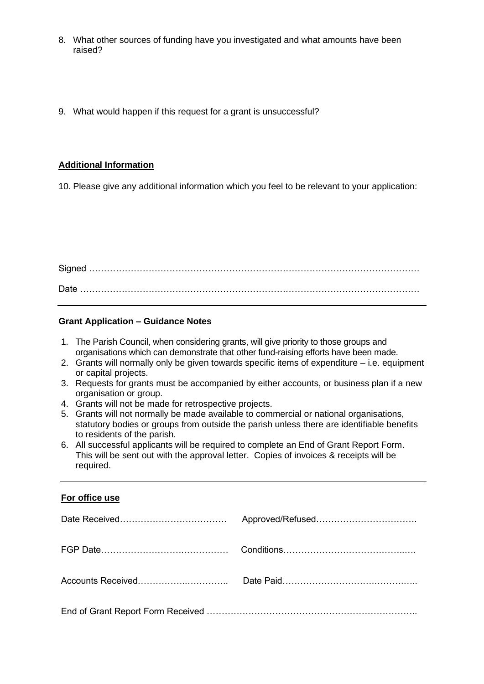- 8. What other sources of funding have you investigated and what amounts have been raised?
- 9. What would happen if this request for a grant is unsuccessful?

#### **Additional Information**

10. Please give any additional information which you feel to be relevant to your application:

Signed ………………………………………………………………………………………………… Date ……………………………………………………………………………………………………

#### **Grant Application – Guidance Notes**

- 1. The Parish Council, when considering grants, will give priority to those groups and organisations which can demonstrate that other fund-raising efforts have been made.
- 2. Grants will normally only be given towards specific items of expenditure i.e. equipment or capital projects.
- 3. Requests for grants must be accompanied by either accounts, or business plan if a new organisation or group.
- 4. Grants will not be made for retrospective projects.
- 5. Grants will not normally be made available to commercial or national organisations, statutory bodies or groups from outside the parish unless there are identifiable benefits to residents of the parish.
- 6. All successful applicants will be required to complete an End of Grant Report Form. This will be sent out with the approval letter. Copies of invoices & receipts will be required.

#### **For office use**